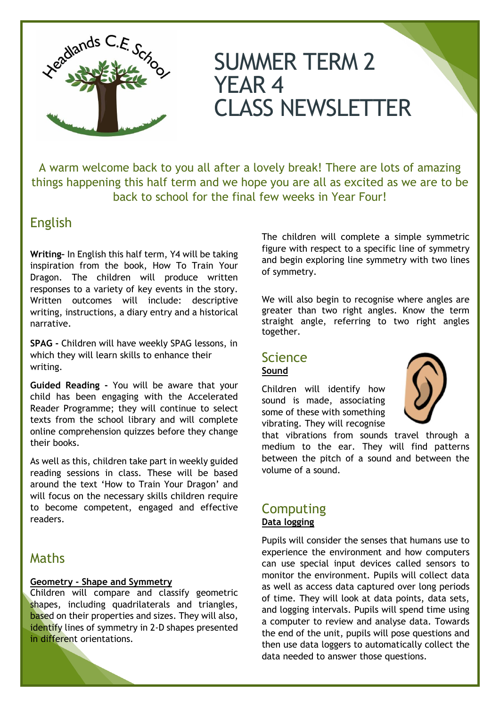

# SUMMER TERM 2 YEAR 4 CLASS NEWSLETTER

A warm welcome back to you all after a lovely break! There are lots of amazing things happening this half term and we hope you are all as excited as we are to be back to school for the final few weeks in Year Four!

# English

**Writing–** In English this half term, Y4 will be taking inspiration from the book, How To Train Your Dragon. The children will produce written responses to a variety of key events in the story. Written outcomes will include: descriptive writing, instructions, a diary entry and a historical narrative.

**SPAG -** Children will have weekly SPAG lessons, in which they will learn skills to enhance their writing.

**Guided Reading -** You will be aware that your child has been engaging with the Accelerated Reader Programme; they will continue to select texts from the school library and will complete online comprehension quizzes before they change their books.

As well as this, children take part in weekly guided reading sessions in class. These will be based around the text 'How to Train Your Dragon' and will focus on the necessary skills children require to become competent, engaged and effective readers.

## Maths

#### **Geometry - Shape and Symmetry**

Children will compare and classify geometric shapes, including quadrilaterals and triangles, based on their properties and sizes. They will also, identify lines of symmetry in 2-D shapes presented in different orientations*.*

The children will complete a simple symmetric figure with respect to a specific line of symmetry and begin exploring line symmetry with two lines of symmetry.

We will also begin to recognise where angles are greater than two right angles. Know the term straight angle, referring to two right angles together.

### Science **Sound**

Children will identify how sound is made, associating some of these with something vibrating. They will recognise



that vibrations from sounds travel through a medium to the ear. They will find patterns between the pitch of a sound and between the volume of a sound.

#### **Computing Data logging**

Pupils will consider the senses that humans use to experience the environment and how computers can use special input devices called sensors to monitor the environment. Pupils will collect data as well as access data captured over long periods of time. They will look at data points, data sets, and logging intervals. Pupils will spend time using a computer to review and analyse data. Towards the end of the unit, pupils will pose questions and then use data loggers to automatically collect the data needed to answer those questions.